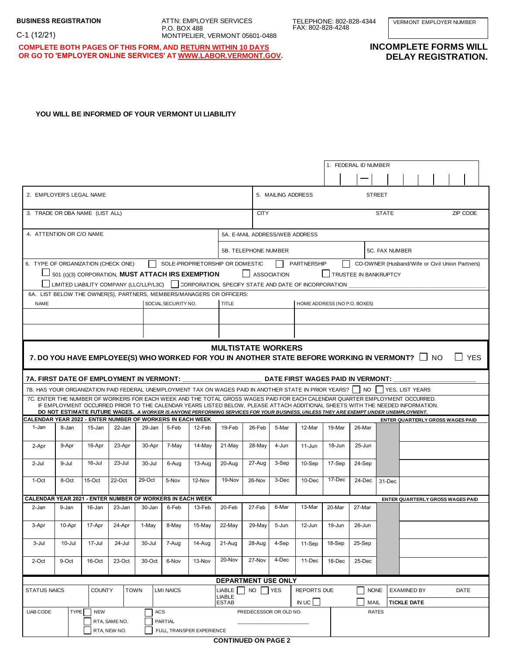ATTN: EMPLOYER SERVICES P.O. BOX 488 MONTPELIER, VERMONT 05601-0488 TELEPHONE: 802-828-4344 FAX: 802-828-4248

VERMONT EMPLOYER NUMBER

**COMPLETE BOTH PAGES OF THIS FORM, AND RETURN WITHIN 10 DAYS OR GO TO 'EMPLOYER ONLINE SERVICES' AT WWW.LABOR.VERMONT.GOV.**

## **INCOMPLETE FORMS WILL DELAY REGISTRATION.**

## **YOU WILL BE INFORMED OF YOUR VERMONT UI LIABILITY**

|                                                                                                                                                                                                    |             |            |                                                         |        |                                              |                           |                                           |                        |       |                                                                                                                                                                                                                                                              |                | 1. FEDERAL ID NUMBER     |              |  |  |                                  |  |
|----------------------------------------------------------------------------------------------------------------------------------------------------------------------------------------------------|-------------|------------|---------------------------------------------------------|--------|----------------------------------------------|---------------------------|-------------------------------------------|------------------------|-------|--------------------------------------------------------------------------------------------------------------------------------------------------------------------------------------------------------------------------------------------------------------|----------------|--------------------------|--------------|--|--|----------------------------------|--|
|                                                                                                                                                                                                    |             |            |                                                         |        |                                              |                           |                                           |                        |       |                                                                                                                                                                                                                                                              |                |                          |              |  |  |                                  |  |
| 2. EMPLOYER'S LEGAL NAME                                                                                                                                                                           |             |            |                                                         |        |                                              |                           | <b>STREET</b><br>5. MAILING ADDRESS       |                        |       |                                                                                                                                                                                                                                                              |                |                          |              |  |  |                                  |  |
| 3. TRADE OR DBA NAME (LIST ALL)                                                                                                                                                                    |             |            |                                                         |        |                                              |                           | <b>CITY</b>                               |                        |       |                                                                                                                                                                                                                                                              |                | <b>STATE</b><br>ZIP CODE |              |  |  |                                  |  |
| 4. ATTENTION OR C/O NAME                                                                                                                                                                           |             |            |                                                         |        |                                              |                           | 5A. E-MAIL ADDRESS/WEB ADDRESS            |                        |       |                                                                                                                                                                                                                                                              |                |                          |              |  |  |                                  |  |
|                                                                                                                                                                                                    |             |            |                                                         |        |                                              | 5B. TELEPHONE NUMBER      |                                           |                        |       |                                                                                                                                                                                                                                                              | 5C. FAX NUMBER |                          |              |  |  |                                  |  |
| 6. TYPE OF ORGANIZATION (CHECK ONE)<br>SOLE-PROPRIETORSHIP OR DOMESTIC                                                                                                                             |             |            |                                                         |        |                                              | PARTNERSHIP               |                                           |                        |       | CO-OWNER (Husband/Wife or Civil Union Partners)                                                                                                                                                                                                              |                |                          |              |  |  |                                  |  |
| 501 (c)(3) CORPORATION. MUST ATTACH IRS EXEMPTION<br><b>ASSOCIATION</b><br>TRUSTEE IN BANKRUPTCY<br>LIMITED LIABILITY COMPANY (LLC/LLP/L3C)   CORPORATION, SPECIFY STATE AND DATE OF INCORPORATION |             |            |                                                         |        |                                              |                           |                                           |                        |       |                                                                                                                                                                                                                                                              |                |                          |              |  |  |                                  |  |
| 6A. LIST BELOW THE OWNER(S), PARTNERS, MEMBERS/MANAGERS OR OFFICERS:                                                                                                                               |             |            |                                                         |        |                                              |                           |                                           |                        |       |                                                                                                                                                                                                                                                              |                |                          |              |  |  |                                  |  |
| <b>NAME</b><br>SOCIAL SECURITY NO.                                                                                                                                                                 |             |            |                                                         |        | <b>TITLE</b><br>HOME ADDRESS (NO P.O. BOXES) |                           |                                           |                        |       |                                                                                                                                                                                                                                                              |                |                          |              |  |  |                                  |  |
|                                                                                                                                                                                                    |             |            |                                                         |        |                                              |                           |                                           |                        |       |                                                                                                                                                                                                                                                              |                |                          |              |  |  |                                  |  |
|                                                                                                                                                                                                    |             |            |                                                         |        |                                              |                           |                                           |                        |       |                                                                                                                                                                                                                                                              |                |                          |              |  |  |                                  |  |
|                                                                                                                                                                                                    |             |            |                                                         |        |                                              |                           | <b>MULTISTATE WORKERS</b>                 |                        |       |                                                                                                                                                                                                                                                              |                |                          |              |  |  |                                  |  |
| 7. DO YOU HAVE EMPLOYEE(S) WHO WORKED FOR YOU IN ANOTHER STATE BEFORE WORKING IN VERMONT? $\Box$ NO<br><b>YES</b>                                                                                  |             |            |                                                         |        |                                              |                           |                                           |                        |       |                                                                                                                                                                                                                                                              |                |                          |              |  |  |                                  |  |
| DATE FIRST WAGES PAID IN VERMONT:<br>7A. FIRST DATE OF EMPLOYMENT IN VERMONT:                                                                                                                      |             |            |                                                         |        |                                              |                           |                                           |                        |       |                                                                                                                                                                                                                                                              |                |                          |              |  |  |                                  |  |
| 7B. HAS YOUR ORGANIZATION PAID FEDERAL UNEMPLOYMENT TAX ON WAGES PAID IN ANOTHER STATE IN PRIOR YEARS?     NO    YES, LIST YEARS                                                                   |             |            |                                                         |        |                                              |                           |                                           |                        |       |                                                                                                                                                                                                                                                              |                |                          |              |  |  |                                  |  |
|                                                                                                                                                                                                    |             |            |                                                         |        |                                              |                           |                                           |                        |       | 7C. ENTER THE NUMBER OF WORKERS FOR EACH WEEK AND THE TOTAL GROSS WAGES PAID FOR EACH CALENDAR QUARTER EMPLOYMENT OCCURRED.<br>IF EMPLOYMENT OCCURRED PRIOR TO THE CALENDAR YEARS LISTED BELOW, PLEASE ATTACH ADDITIONAL SHEETS WITH THE NEEDED INFORMATION. |                |                          |              |  |  |                                  |  |
|                                                                                                                                                                                                    |             |            |                                                         |        |                                              |                           |                                           |                        |       | DO NOT ESTIMATE FUTURE WAGES. A WORKER IS ANYONE PERFORMING SERVICES FOR YOUR BUSINESS, UNLESS THEY ARE EXEMPT UNDER UNEMPLOYMENT.                                                                                                                           |                |                          |              |  |  |                                  |  |
| CALENDAR YEAR 2022 - ENTER NUMBER OF WORKERS IN EACH WEEK                                                                                                                                          |             |            |                                                         |        |                                              |                           |                                           |                        |       |                                                                                                                                                                                                                                                              |                |                          |              |  |  | ENTER QUARTERLY GROSS WAGES PAID |  |
| 1-Jan                                                                                                                                                                                              | 8-Jan       | 15-Jan     | 22-Jan                                                  | 29-Jan | 5-Feb                                        | 12-Feb                    | 19-Feb                                    | 26-Feb                 | 5-Mar | 12-Mar                                                                                                                                                                                                                                                       | 19-Mar         | 26-Mar                   |              |  |  |                                  |  |
| 2-Apr                                                                                                                                                                                              | 9-Apr       | 16-Apr     | 23-Apr                                                  | 30-Apr | 7-May                                        | 14-May                    | $21-Mav$                                  | 28-May                 | 4-Jun | 11-Jun                                                                                                                                                                                                                                                       | 18-Jun         | 25-Jun                   |              |  |  |                                  |  |
| 2-Jul                                                                                                                                                                                              | 9-Jul       | 16-Jul     | 23-Jul                                                  | 30-Jul | 6-Aug                                        | 13-Aug                    | 20-Aug                                    | 27-Aug                 | 3-Sep | $10-Sep$                                                                                                                                                                                                                                                     | 17-Sep         | 24-Sep                   |              |  |  |                                  |  |
| 1-Oct                                                                                                                                                                                              | 8-Oct       | $15$ -Oct  | 22-Oct                                                  | 29-Oct | 5-Nov                                        | 12-Nov                    | 19-Nov                                    | 26-Nov                 | 3-Dec | 10-Dec                                                                                                                                                                                                                                                       | 17-Dec         | 24-Dec                   | 31-Dec       |  |  |                                  |  |
| CALENDAR YEAR 2021 - ENTER NUMBER OF WORKERS IN EACH WEEK                                                                                                                                          |             |            |                                                         |        |                                              |                           |                                           |                        |       |                                                                                                                                                                                                                                                              |                |                          |              |  |  | ENTER QUARTERLY GROSS WAGES PAID |  |
| 2-Jan                                                                                                                                                                                              | 9-Jan       | 16-Jan     | 23-Jan                                                  | 30-Jan | 6-Feb                                        | 13-Feb                    | 20-Feb                                    | 27-Feb                 | 6-Mar | 13-Mar                                                                                                                                                                                                                                                       | 20-Mar         | 27-Mar                   |              |  |  |                                  |  |
| 3-Apr                                                                                                                                                                                              | 10-Apr      | 17-Apr     | 24-Apr                                                  | 1-May  | 8-May                                        | $15-Mav$                  | 22-May                                    | 29-May                 | 5-Jun | 12-Jun                                                                                                                                                                                                                                                       | 19-Jun         | 26-Jun                   |              |  |  |                                  |  |
| 3-Jul                                                                                                                                                                                              | 10-Jul      | 17-Jul     | 24-Jul                                                  | 30-Jul | 7-Aug                                        | 14-Aug                    | $21-Auq$                                  | 28-Aug                 | 4-Sep | 11-Sep                                                                                                                                                                                                                                                       | 18-Sep         | 25-Sep                   |              |  |  |                                  |  |
| 2-Oct                                                                                                                                                                                              | 9-Oct       | 16-Oct     | 23-Oct                                                  | 30-Oct | 6-Nov                                        | 13-Nov                    | 20-Nov                                    | 27-Nov                 | 4-Dec | 11-Dec                                                                                                                                                                                                                                                       | 18-Dec         | 25-Dec                   |              |  |  |                                  |  |
| DEPARTMENT USE ONLY                                                                                                                                                                                |             |            |                                                         |        |                                              |                           |                                           |                        |       |                                                                                                                                                                                                                                                              |                |                          |              |  |  |                                  |  |
| <b>STATUS NAICS</b><br><b>COUNTY</b><br><b>TOWN</b><br><b>LMI NAICS</b>                                                                                                                            |             |            | <b>NO</b><br>LIABLE<br><b>YES</b><br><b>REPORTS DUE</b> |        |                                              |                           | <b>NONE</b><br>DATE<br><b>EXAMINED BY</b> |                        |       |                                                                                                                                                                                                                                                              |                |                          |              |  |  |                                  |  |
|                                                                                                                                                                                                    |             |            | <b>LIABLE</b><br><b>ESTAB</b>                           |        | INUC                                         |                           |                                           |                        | MAIL  | TICKLE DATE                                                                                                                                                                                                                                                  |                |                          |              |  |  |                                  |  |
| LIAB CODE                                                                                                                                                                                          | <b>TYPE</b> | <b>NEW</b> |                                                         |        | ACS                                          |                           |                                           | PREDECESSOR OR OLD NO. |       |                                                                                                                                                                                                                                                              |                |                          | <b>RATES</b> |  |  |                                  |  |
| RTA, SAME NO.<br><b>PARTIAL</b>                                                                                                                                                                    |             |            |                                                         |        |                                              |                           |                                           |                        |       |                                                                                                                                                                                                                                                              |                |                          |              |  |  |                                  |  |
|                                                                                                                                                                                                    |             |            | RTA, NEW NO.                                            |        |                                              | FULL, TRANSFER EXPERIENCE |                                           |                        |       |                                                                                                                                                                                                                                                              |                |                          |              |  |  |                                  |  |
|                                                                                                                                                                                                    |             |            |                                                         |        |                                              |                           | <b>CONTINUED ON PAGE 2</b>                |                        |       |                                                                                                                                                                                                                                                              |                |                          |              |  |  |                                  |  |